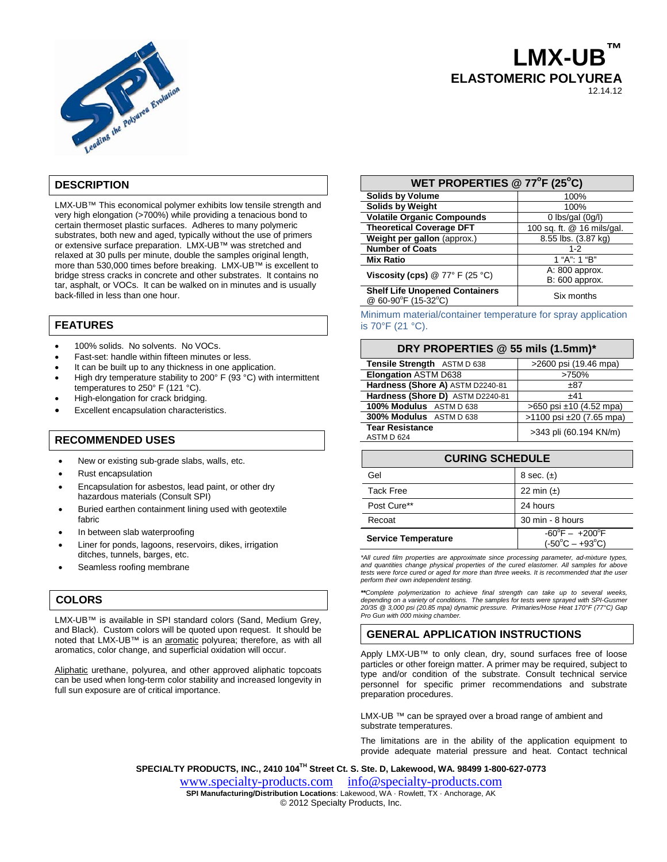

# **LMX-UB™ ELASTOMERIC POLYUREA** 12.14.12

# **DESCRIPTION**

LMX-UB™ This economical polymer exhibits low tensile strength and very high elongation (>700%) while providing a tenacious bond to certain thermoset plastic surfaces. Adheres to many polymeric substrates, both new and aged, typically without the use of primers or extensive surface preparation. LMX-UB™ was stretched and relaxed at 30 pulls per minute, double the samples original length, more than 530,000 times before breaking. LMX-UB™ is excellent to bridge stress cracks in concrete and other substrates. It contains no tar, asphalt, or VOCs. It can be walked on in minutes and is usually back-filled in less than one hour.

# **FEATURES**

- 100% solids. No solvents. No VOCs.
- Fast-set: handle within fifteen minutes or less.
- It can be built up to any thickness in one application.
- High dry temperature stability to 200° F (93 °C) with intermittent temperatures to 250° F (121 °C).
- High-elongation for crack bridging.
- Excellent encapsulation characteristics.

# **RECOMMENDED USES**

- New or existing sub-grade slabs, walls, etc.
- Rust encapsulation
- Encapsulation for asbestos, lead paint, or other dry hazardous materials (Consult SPI)
- Buried earthen containment lining used with geotextile fabric
- In between slab waterproofing
- Liner for ponds, lagoons, reservoirs, dikes, irrigation ditches, tunnels, barges, etc.
- Seamless roofing membrane

# **COLORS**

LMX-UB™ is available in SPI standard colors (Sand, Medium Grey, and Black). Custom colors will be quoted upon request. It should be noted that LMX-UB™ is an aromatic polyurea; therefore, as with all aromatics, color change, and superficial oxidation will occur.

Aliphatic urethane, polyurea, and other approved aliphatic topcoats can be used when long-term color stability and increased longevity in full sun exposure are of critical importance.

| WET PROPERTIES @ 77°F (25°C)                                 |                                  |
|--------------------------------------------------------------|----------------------------------|
| <b>Solids by Volume</b>                                      | 100%                             |
| <b>Solids by Weight</b>                                      | 100%                             |
| <b>Volatile Organic Compounds</b>                            | 0 lbs/gal $(0g/l)$               |
| <b>Theoretical Coverage DFT</b>                              | 100 sq. ft. @ 16 mils/gal.       |
| Weight per gallon (approx.)                                  | 8.55 lbs. (3.87 kg)              |
| <b>Number of Coats</b>                                       | $1 - 2$                          |
| <b>Mix Ratio</b>                                             | 1 "A": 1 "B"                     |
| Viscosity (cps) $@ 77° F (25 °C)$                            | A: 800 approx.<br>B: 600 approx. |
| <b>Shelf Life Unopened Containers</b><br>@ 60-90°F (15-32°C) | Six months                       |

Minimum material/container temperature for spray application is 70°F (21 °C).

#### **DRY PROPERTIES @ 55 mils (1.5mm)\***

| Tensile Strength ASTM D 638          | >2600 psi (19.46 mpa)       |
|--------------------------------------|-----------------------------|
| <b>Elongation ASTM D638</b>          | >750%                       |
| Hardness (Shore A) ASTM D2240-81     | ±87                         |
| Hardness (Shore D) ASTM D2240-81     | $+41$                       |
| 100% Modulus ASTM D 638              | $>650$ psi $±10$ (4.52 mpa) |
| 300% Modulus ASTM D 638              | >1100 psi ±20 (7.65 mpa)    |
| <b>Tear Resistance</b><br>ASTM D 624 | >343 pli (60.194 KN/m)      |

| <b>CURING SCHEDULE</b>     |                                                                      |  |
|----------------------------|----------------------------------------------------------------------|--|
| Gel                        | 8 sec. $(\pm)$                                                       |  |
| <b>Tack Free</b>           | 22 min $(\pm)$                                                       |  |
| Post Cure**                | 24 hours                                                             |  |
| Recoat                     | 30 min - 8 hours                                                     |  |
| <b>Service Temperature</b> | $-60^{\circ}$ F $ +200^{\circ}$ F<br>$(-50^{\circ}C - +93^{\circ}C)$ |  |

*\*All cured film properties are approximate since processing parameter, ad-mixture types, and quantities change physical properties of the cured elastomer. All samples for above*  tests were force cured or aged for more than three weeks. It is recommended that the user *perform their own independent testing.*

*\*\*Complete polymerization to achieve final strength can take up to several weeks,*  depending on a variety of conditions. The samples for tests were sprayed with SPI-Gusmer *20/35 @ 3,000 psi (20.85 mpa) dynamic pressure. Primaries/Hose Heat 170°F (77°C) Gap Pro Gun with 000 mixing chamber.*

# **GENERAL APPLICATION INSTRUCTIONS**

Apply LMX-UB™ to only clean, dry, sound surfaces free of loose particles or other foreign matter. A primer may be required, subject to type and/or condition of the substrate. Consult technical service personnel for specific primer recommendations and substrate preparation procedures.

LMX-UB<sup>™</sup> can be sprayed over a broad range of ambient and substrate temperatures.

The limitations are in the ability of the application equipment to provide adequate material pressure and heat. Contact technical

**SPECIALTY PRODUCTS, INC., 2410 104TH Street Ct. S. Ste. D, Lakewood, WA. 98499 1-800-627-0773**

[www.specialty-products.com](http://www.specialty-products.com/)[info@specialty-products.com](mailto:info@specialty-products.com) **SPI Manufacturing/Distribution Locations**: Lakewood, WA · Rowlett, TX · Anchorage, AK © 2012 Specialty Products, Inc.